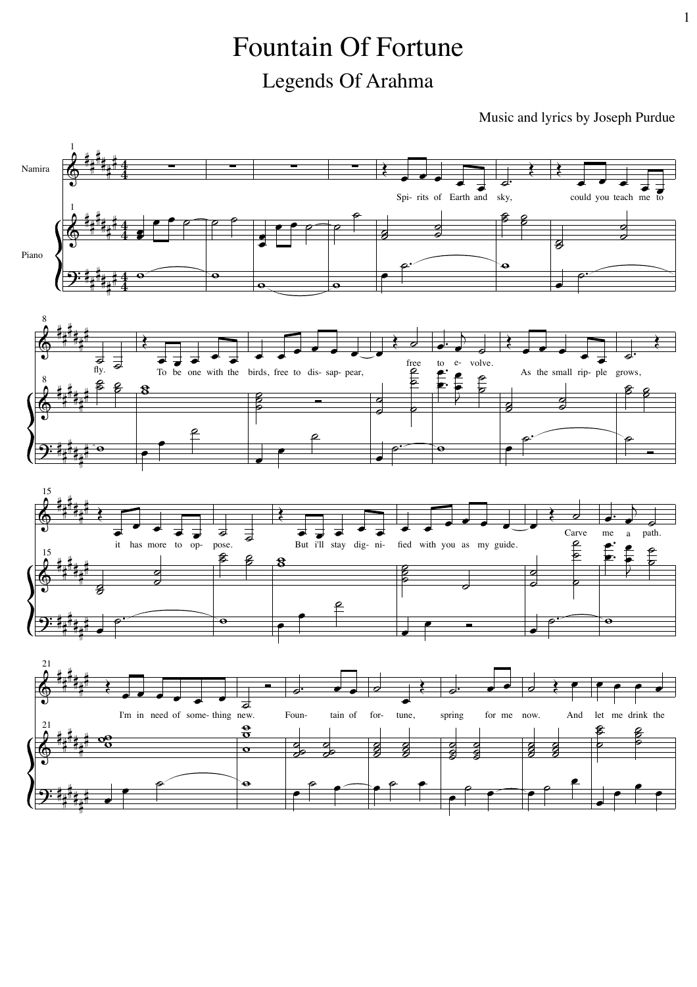## **Fountain Of Fortune** Legends Of Arahma

Music and lyrics by Joseph Purdue

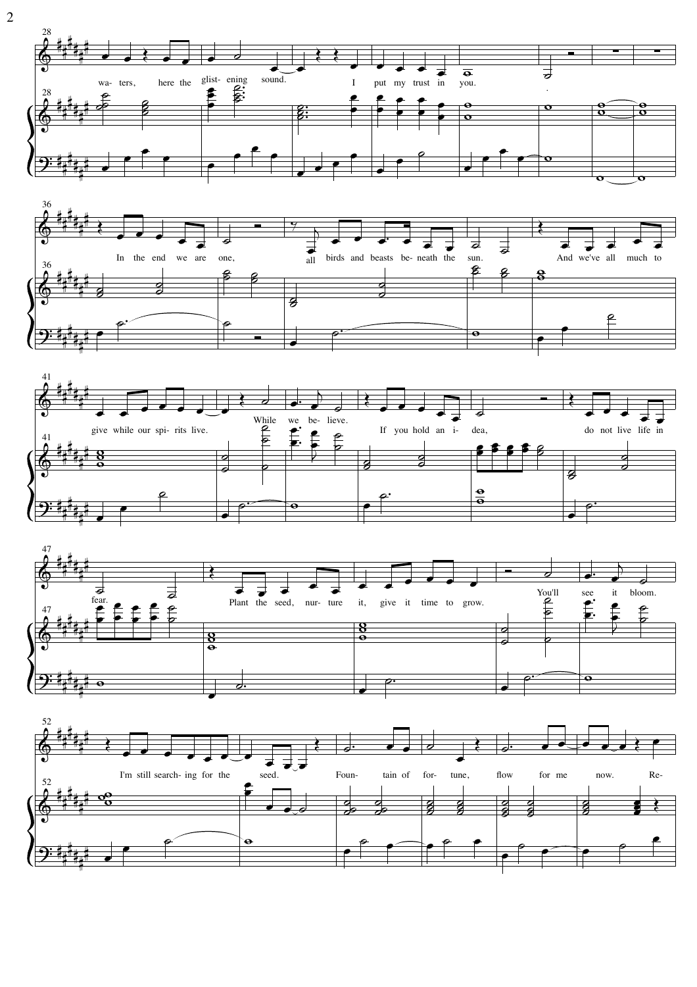







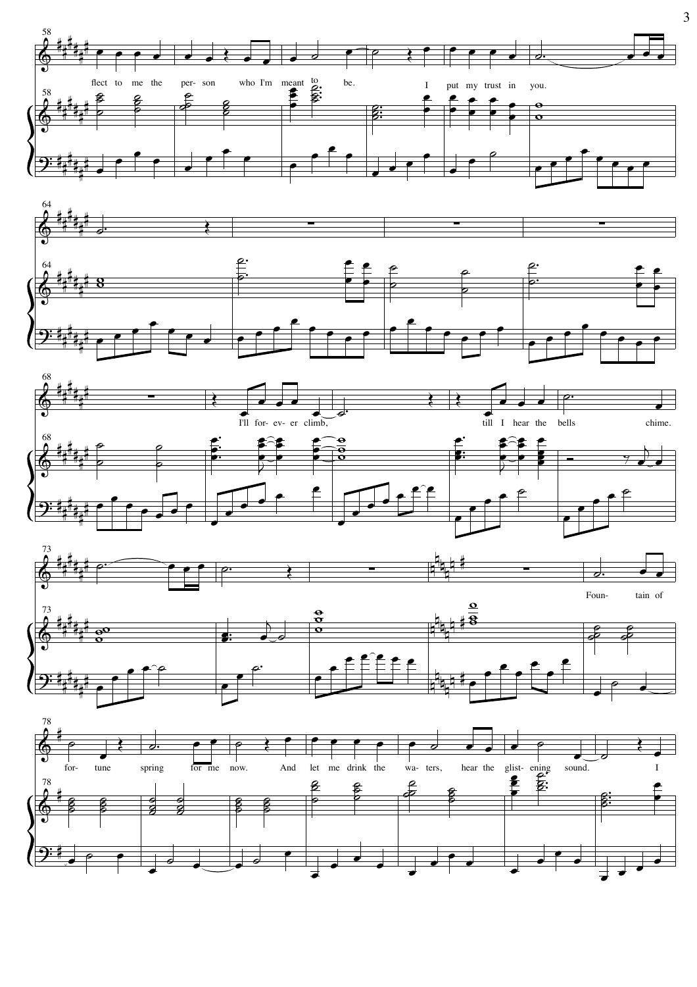